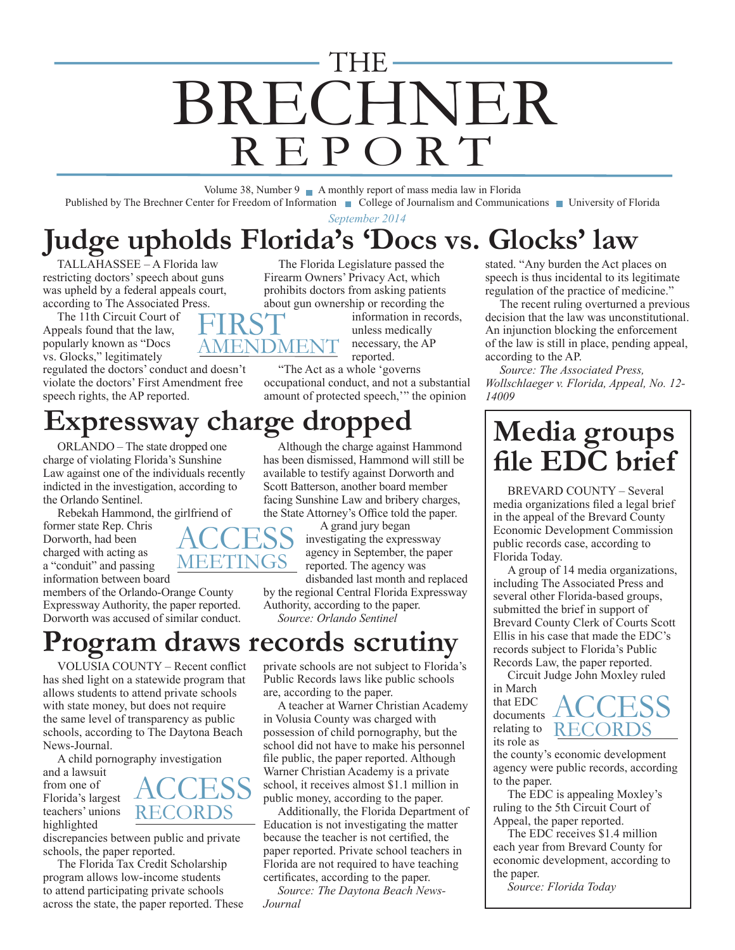# BRECHNER REPORT THE

Volume 38, Number 9 A monthly report of mass media law in Florida Published by The Brechner Center for Freedom of Information College of Journalism and Communications University of Florida

*September 2014*

## **Judge upholds Florida's 'Docs vs. Glocks' law**

AMENDMENT

TALLAHASSEE – A Florida law restricting doctors' speech about guns was upheld by a federal appeals court, according to The Associated Press. **FIRST** 

The 11th Circuit Court of Appeals found that the law, popularly known as "Docs vs. Glocks," legitimately

regulated the doctors' conduct and doesn't violate the doctors' First Amendment free speech rights, the AP reported.

### **Expressway charge dropped**

ORLANDO – The state dropped one charge of violating Florida's Sunshine Law against one of the individuals recently indicted in the investigation, according to the Orlando Sentinel.

Rebekah Hammond, the girlfriend of

former state Rep. Chris Dorworth, had been charged with acting as a "conduit" and passing information between board

members of the Orlando-Orange County Expressway Authority, the paper reported. Dorworth was accused of similar conduct.

### **Program draws records scrutiny**

*Journal*

VOLUSIA COUNTY – Recent conflict has shed light on a statewide program that allows students to attend private schools with state money, but does not require the same level of transparency as public schools, according to The Daytona Beach News-Journal.

A child pornography investigation

and a lawsuit from one of Florida's largest teachers' unions highlighted

**ACCESS** RECORDS

discrepancies between public and private schools, the paper reported.

The Florida Tax Credit Scholarship program allows low-income students to attend participating private schools across the state, the paper reported. These

The Florida Legislature passed the Firearm Owners' Privacy Act, which prohibits doctors from asking patients about gun ownership or recording the

> information in records, unless medically necessary, the AP reported.

"The Act as a whole 'governs occupational conduct, and not a substantial amount of protected speech,'" the opinion

Although the charge against Hammond

stated. "Any burden the Act places on speech is thus incidental to its legitimate regulation of the practice of medicine."

The recent ruling overturned a previous decision that the law was unconstitutional. An injunction blocking the enforcement of the law is still in place, pending appeal, according to the AP.

*Source: The Associated Press, Wollschlaeger v. Florida, Appeal, No. 12- 14009*

### **Media groups file EDC brief**

BREVARD COUNTY – Several media organizations filed a legal brief in the appeal of the Brevard County Economic Development Commission public records case, according to Florida Today.

A group of 14 media organizations, including The Associated Press and several other Florida-based groups, submitted the brief in support of Brevard County Clerk of Courts Scott Ellis in his case that made the EDC's records subject to Florida's Public Records Law, the paper reported.

Circuit Judge John Moxley ruled in March **ACCESS** 

that EDC documents relating to **RECORDS** its role as

the county's economic development agency were public records, according to the paper.

The EDC is appealing Moxley's ruling to the 5th Circuit Court of Appeal, the paper reported.

The EDC receives \$1.4 million each year from Brevard County for economic development, according to the paper.

*Source: Florida Today*



facing Sunshine Law and bribery charges, the State Attorney's Office told the paper. A grand jury began investigating the expressway

agency in September, the paper reported. The agency was disbanded last month and replaced

by the regional Central Florida Expressway Authority, according to the paper. *Source: Orlando Sentinel*

private schools are not subject to Florida's Public Records laws like public schools

in Volusia County was charged with possession of child pornography, but the school did not have to make his personnel file public, the paper reported. Although Warner Christian Academy is a private school, it receives almost \$1.1 million in public money, according to the paper.

A teacher at Warner Christian Academy

Additionally, the Florida Department of Education is not investigating the matter because the teacher is not certified, the paper reported. Private school teachers in Florida are not required to have teaching certificates, according to the paper. *Source: The Daytona Beach News-*

are, according to the paper.

has been dismissed, Hammond will still be available to testify against Dorworth and Scott Batterson, another board member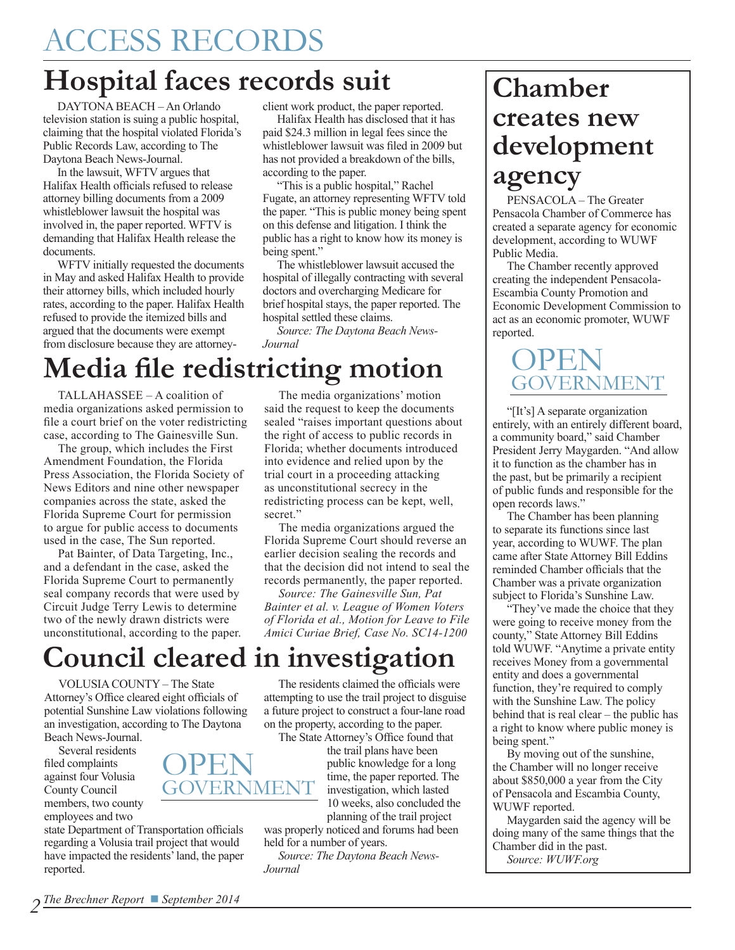### **Hospital faces records suit**

DAYTONA BEACH – An Orlando television station is suing a public hospital, claiming that the hospital violated Florida's Public Records Law, according to The Daytona Beach News-Journal.

In the lawsuit, WFTV argues that Halifax Health officials refused to release attorney billing documents from a 2009 whistleblower lawsuit the hospital was involved in, the paper reported. WFTV is demanding that Halifax Health release the documents.

WFTV initially requested the documents in May and asked Halifax Health to provide their attorney bills, which included hourly rates, according to the paper. Halifax Health refused to provide the itemized bills and argued that the documents were exempt from disclosure because they are attorneyclient work product, the paper reported.

Halifax Health has disclosed that it has paid \$24.3 million in legal fees since the whistleblower lawsuit was filed in 2009 but has not provided a breakdown of the bills, according to the paper.

"This is a public hospital," Rachel Fugate, an attorney representing WFTV told the paper. "This is public money being spent on this defense and litigation. I think the public has a right to know how its money is being spent."

The whistleblower lawsuit accused the hospital of illegally contracting with several doctors and overcharging Medicare for brief hospital stays, the paper reported. The hospital settled these claims.

*Source: The Daytona Beach News-Journal*

## **Media file redistricting motion**

TALLAHASSEE – A coalition of media organizations asked permission to file a court brief on the voter redistricting case, according to The Gainesville Sun.

The group, which includes the First Amendment Foundation, the Florida Press Association, the Florida Society of News Editors and nine other newspaper companies across the state, asked the Florida Supreme Court for permission to argue for public access to documents used in the case, The Sun reported.

Pat Bainter, of Data Targeting, Inc., and a defendant in the case, asked the Florida Supreme Court to permanently seal company records that were used by Circuit Judge Terry Lewis to determine two of the newly drawn districts were unconstitutional, according to the paper.

The media organizations' motion said the request to keep the documents sealed "raises important questions about the right of access to public records in Florida; whether documents introduced into evidence and relied upon by the trial court in a proceeding attacking as unconstitutional secrecy in the redistricting process can be kept, well, secret."

The media organizations argued the Florida Supreme Court should reverse an earlier decision sealing the records and that the decision did not intend to seal the records permanently, the paper reported.

*Source: The Gainesville Sun, Pat Bainter et al. v. League of Women Voters of Florida et al., Motion for Leave to File Amici Curiae Brief, Case No. SC14-1200*

### **Council cleared in investigation**

VOLUSIA COUNTY – The State Attorney's Office cleared eight officials of potential Sunshine Law violations following an investigation, according to The Daytona Beach News-Journal.

Several residents filed complaints against four Volusia County Council members, two county employees and two



state Department of Transportation officials regarding a Volusia trail project that would have impacted the residents' land, the paper reported.

The residents claimed the officials were attempting to use the trail project to disguise a future project to construct a four-lane road on the property, according to the paper.

The State Attorney's Office found that the trail plans have been public knowledge for a long time, the paper reported. The investigation, which lasted 10 weeks, also concluded the planning of the trail project

was properly noticed and forums had been held for a number of years.

*Source: The Daytona Beach News-Journal*

### **Chamber creates new development agency**

PENSACOLA – The Greater Pensacola Chamber of Commerce has created a separate agency for economic development, according to WUWF Public Media.

The Chamber recently approved creating the independent Pensacola-Escambia County Promotion and Economic Development Commission to act as an economic promoter, WUWF reported.

### **OPEN** GOVERNMENT

"[It's] A separate organization entirely, with an entirely different board, a community board," said Chamber President Jerry Maygarden. "And allow it to function as the chamber has in the past, but be primarily a recipient of public funds and responsible for the open records laws."

The Chamber has been planning to separate its functions since last year, according to WUWF. The plan came after State Attorney Bill Eddins reminded Chamber officials that the Chamber was a private organization subject to Florida's Sunshine Law.

"They've made the choice that they were going to receive money from the county," State Attorney Bill Eddins told WUWF. "Anytime a private entity receives Money from a governmental entity and does a governmental function, they're required to comply with the Sunshine Law. The policy behind that is real clear – the public has a right to know where public money is being spent."

By moving out of the sunshine, the Chamber will no longer receive about \$850,000 a year from the City of Pensacola and Escambia County, WUWF reported.

Maygarden said the agency will be doing many of the same things that the Chamber did in the past.

*Source: WUWF.org*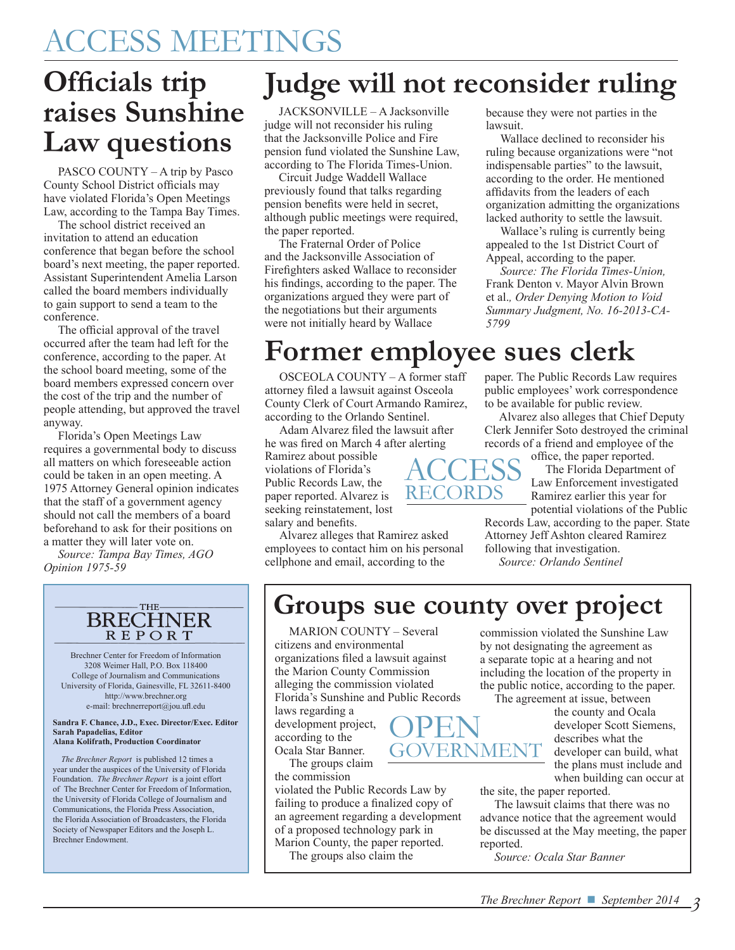### ACCESS MEETINGS

### **Officials trip raises Sunshine Law questions**

PASCO COUNTY – A trip by Pasco County School District officials may have violated Florida's Open Meetings Law, according to the Tampa Bay Times.

The school district received an invitation to attend an education conference that began before the school board's next meeting, the paper reported. Assistant Superintendent Amelia Larson called the board members individually to gain support to send a team to the conference.

The official approval of the travel occurred after the team had left for the conference, according to the paper. At the school board meeting, some of the board members expressed concern over the cost of the trip and the number of people attending, but approved the travel anyway.

Florida's Open Meetings Law requires a governmental body to discuss all matters on which foreseeable action could be taken in an open meeting. A 1975 Attorney General opinion indicates that the staff of a government agency should not call the members of a board beforehand to ask for their positions on a matter they will later vote on.

*Source: Tampa Bay Times, AGO Opinion 1975-59*

#### THE-**BRECHNER REPORT**

Brechner Center for Freedom of Information 3208 Weimer Hall, P.O. Box 118400 College of Journalism and Communications University of Florida, Gainesville, FL 32611-8400 http://www.brechner.org e-mail: brechnerreport@jou.ufl.edu

**Sandra F. Chance, J.D., Exec. Director/Exec. Editor Sarah Papadelias, Editor Alana Kolifrath, Production Coordinator**

 *The Brechner Report* is published 12 times a year under the auspices of the University of Florida Foundation. *The Brechner Report* is a joint effort of The Brechner Center for Freedom of Information, the University of Florida College of Journalism and Communications, the Florida Press Association, the Florida Association of Broadcasters, the Florida Society of Newspaper Editors and the Joseph L. Brechner Endowment.

### **Judge will not reconsider ruling**

JACKSONVILLE – A Jacksonville judge will not reconsider his ruling that the Jacksonville Police and Fire pension fund violated the Sunshine Law, according to The Florida Times-Union.

Circuit Judge Waddell Wallace previously found that talks regarding pension benefits were held in secret, although public meetings were required, the paper reported.

The Fraternal Order of Police and the Jacksonville Association of Firefighters asked Wallace to reconsider his findings, according to the paper. The organizations argued they were part of the negotiations but their arguments were not initially heard by Wallace

because they were not parties in the lawsuit.

Wallace declined to reconsider his ruling because organizations were "not indispensable parties" to the lawsuit, according to the order. He mentioned affidavits from the leaders of each organization admitting the organizations lacked authority to settle the lawsuit.

Wallace's ruling is currently being appealed to the 1st District Court of Appeal, according to the paper.

*Source: The Florida Times-Union,*  Frank Denton v. Mayor Alvin Brown et al.*, Order Denying Motion to Void Summary Judgment, No. 16-2013-CA-5799*

### **Former employee sues clerk**

OSCEOLA COUNTY – A former staff attorney filed a lawsuit against Osceola County Clerk of Court Armando Ramirez, according to the Orlando Sentinel.

Adam Alvarez filed the lawsuit after he was fired on March 4 after alerting

Ramirez about possible violations of Florida's Public Records Law, the paper reported. Alvarez is seeking reinstatement, lost salary and benefits.

Alvarez alleges that Ramirez asked employees to contact him on his personal cellphone and email, according to the

paper. The Public Records Law requires public employees' work correspondence to be available for public review.

Alvarez also alleges that Chief Deputy Clerk Jennifer Soto destroyed the criminal records of a friend and employee of the

office, the paper reported. The Florida Department of Law Enforcement investigated Ramirez earlier this year for potential violations of the Public

Records Law, according to the paper. State Attorney Jeff Ashton cleared Ramirez following that investigation. *Source: Orlando Sentinel*

**Groups sue county over project**

**ACCESS** RECORDS

MARION COUNTY – Several citizens and environmental organizations filed a lawsuit against the Marion County Commission alleging the commission violated Florida's Sunshine and Public Records

laws regarding a development project, according to the Ocala Star Banner.

The groups claim the commission

violated the Public Records Law by failing to produce a finalized copy of an agreement regarding a development of a proposed technology park in Marion County, the paper reported.

The groups also claim the

commission violated the Sunshine Law by not designating the agreement as a separate topic at a hearing and not including the location of the property in the public notice, according to the paper.

The agreement at issue, between

the county and Ocala developer Scott Siemens, describes what the developer can build, what the plans must include and when building can occur at

the site, the paper reported.

The lawsuit claims that there was no advance notice that the agreement would be discussed at the May meeting, the paper reported.

*Source: Ocala Star Banner*

**OPEN** GOVERNMENT